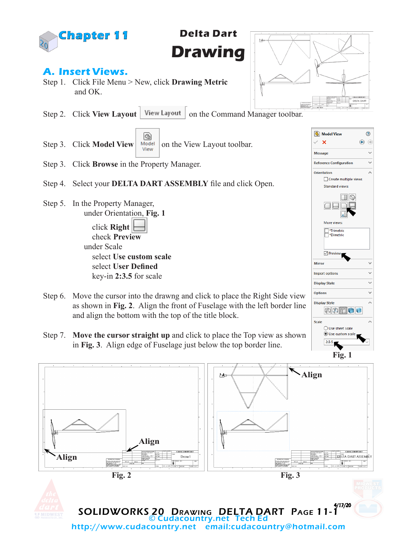

**Delta Dart Drawing**

## **A. Insert Views.**

- Step 1. Click File Menu > New, click **Drawing Metric** and OK.
- Step 2. Click View Layout | View Layout | on the Command Manager toolbar.
- G) Step 3. Click **Model View**  $\begin{array}{c|c} \text{Model} & \text{on the View Layout toolbar.} \end{array}$
- Step 3. Click **Browse** in the Property Manager.
- Step 4. Select your **DELTA DART ASSEMBLY** file and click Open.
- Step 5. In the Property Manager, under Orientation, **Fig. 1**

 click **Right** check **Preview** under Scale select **Use custom scale** select **User Defined** key-in **2:3.5** for scale

- Step 6. Move the cursor into the drawng and click to place the Right Side view as shown in **Fig. 2**. Align the front of Fuselage with the left border line and align the bottom with the top of the title block.
- Step 7. **Move the cursor straight up** and click to place the Top view as shown in **Fig. 3**. Align edge of Fuselage just below the top border line.





**S** Model View

**Reference Configuration** 

More views Trimetric

 $\nabla$  Previev

Mirror **Import options** 

**Display State** Options

**Display Style** 

Scale

中国田口口

◯ Use sheet scale **O** Use custom scale  $2:3.5$ 

 $\Box$  Create multiple views Standard views:

 $\Box$ 

 $\times$   $\times$ 

Message

Orientation

 $\circledR$ 

U  $\ddot{\phantom{0}}$ 

×

Ü

 $\ddotmark$ 

 $\color{red}\bm{\odot}$  $\oplus$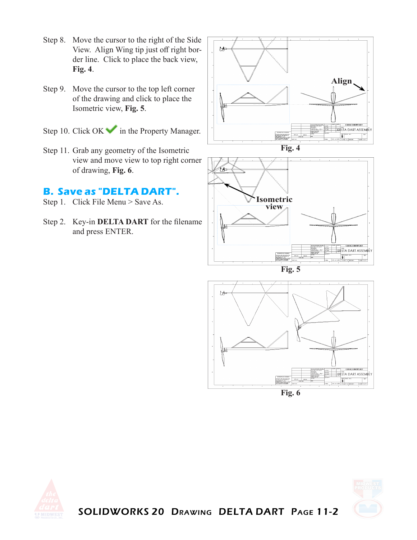- Step 8. Move the cursor to the right of the Side View. Align Wing tip just off right border line. Click to place the back view, **Fig. 4**.
- Step 9. Move the cursor to the top left corner of the drawing and click to place the Isometric view, **Fig. 5**.
- Step 10. Click  $OK \rightarrow$  in the Property Manager.
- Step 11. Grab any geometry of the Isometric view and move view to top right corner of drawing, **Fig. 6**.

## **B. Save as "DELTA DART".**

- Step 1. Click File Menu > Save As.
- Step 2. Key-in **DELTA DART** for the filename and press ENTER.













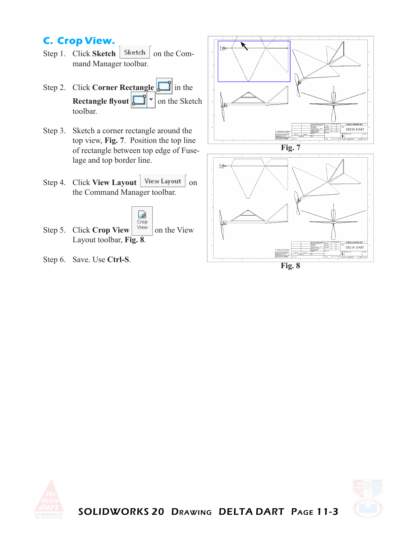## **C. Crop View.**

- Step 1. Click **Sketch** | Sketch | on the Command Manager toolbar.
- Step 2. Click **Corner Rectangle** in the **Rectangle flyout**  $\begin{bmatrix} 1 \\ 1 \end{bmatrix}$  on the Sketch toolbar.
- Step 3. Sketch a corner rectangle around the top view, **Fig. 7**. Position the top line of rectangle between top edge of Fuselage and top border line.
- Step 4. Click **View Layout** | View Layout | on the Command Manager toolbar.



- Step 5. Click **Crop View**  $\begin{array}{|c|c|c|} \hline \text{View} & \text{on the View} \hline \end{array}$ Layout toolbar, **Fig. 8**.
- Step 6. Save. Use **Ctrl-S**.





**Fig. 8**